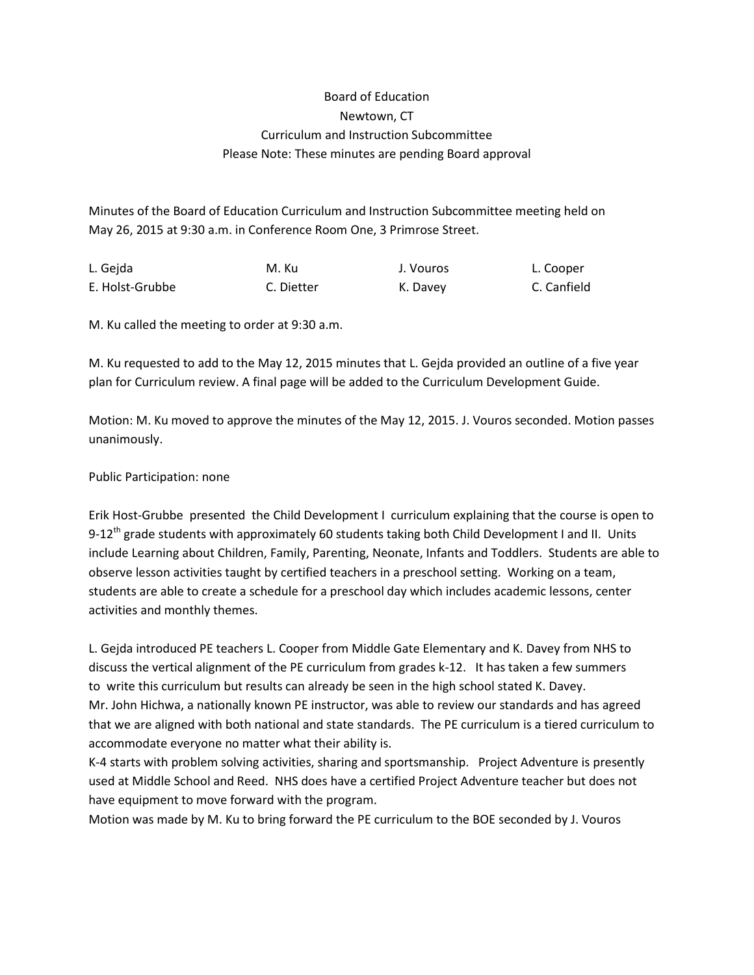## Board of Education Newtown, CT Curriculum and Instruction Subcommittee Please Note: These minutes are pending Board approval

Minutes of the Board of Education Curriculum and Instruction Subcommittee meeting held on May 26, 2015 at 9:30 a.m. in Conference Room One, 3 Primrose Street.

| L. Gejda        | M. Ku      | J. Vouros | L. Cooper   |
|-----------------|------------|-----------|-------------|
| E. Holst-Grubbe | C. Dietter | K. Davey  | C. Canfield |

M. Ku called the meeting to order at 9:30 a.m.

M. Ku requested to add to the May 12, 2015 minutes that L. Gejda provided an outline of a five year plan for Curriculum review. A final page will be added to the Curriculum Development Guide.

Motion: M. Ku moved to approve the minutes of the May 12, 2015. J. Vouros seconded. Motion passes unanimously.

Public Participation: none

Erik Host-Grubbe presented the Child Development I curriculum explaining that the course is open to 9-12<sup>th</sup> grade students with approximately 60 students taking both Child Development I and II. Units include Learning about Children, Family, Parenting, Neonate, Infants and Toddlers. Students are able to observe lesson activities taught by certified teachers in a preschool setting. Working on a team, students are able to create a schedule for a preschool day which includes academic lessons, center activities and monthly themes.

L. Gejda introduced PE teachers L. Cooper from Middle Gate Elementary and K. Davey from NHS to discuss the vertical alignment of the PE curriculum from grades k-12. It has taken a few summers to write this curriculum but results can already be seen in the high school stated K. Davey. Mr. John Hichwa, a nationally known PE instructor, was able to review our standards and has agreed that we are aligned with both national and state standards. The PE curriculum is a tiered curriculum to accommodate everyone no matter what their ability is.

K-4 starts with problem solving activities, sharing and sportsmanship. Project Adventure is presently used at Middle School and Reed. NHS does have a certified Project Adventure teacher but does not have equipment to move forward with the program.

Motion was made by M. Ku to bring forward the PE curriculum to the BOE seconded by J. Vouros